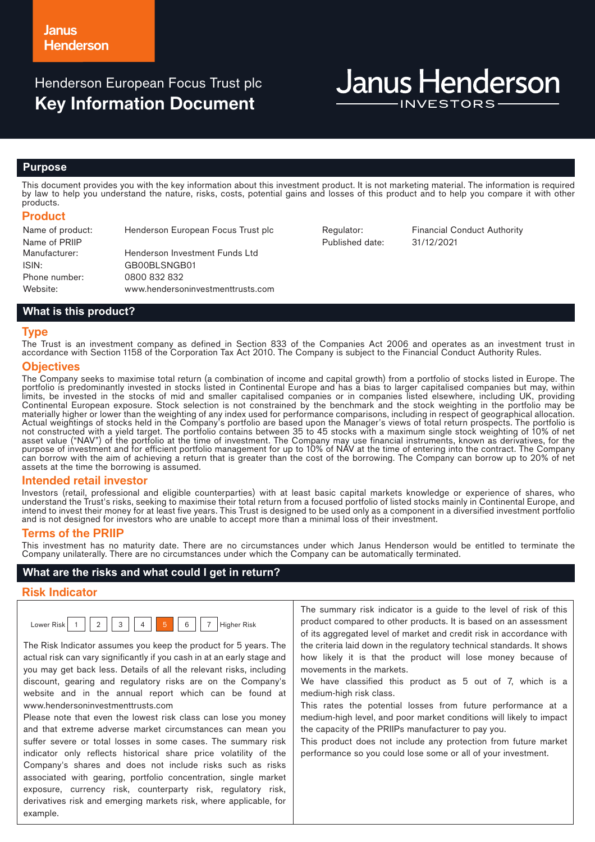# Henderson European Focus Trust plc **Key Information Document**

# **Janus Henderson**

#### **Purpose**

This document provides you with the key information about this investment product. It is not marketing material. The information is required by law to help you understand the nature, risks, costs, potential gains and losses of this product and to help you compare it with other products.

#### **Product**

| Name of product: | Henderson European Focus Trust plc |
|------------------|------------------------------------|
| Name of PRIIP    |                                    |
| Manufacturer:    | Henderson Investment Funds Ltd     |
| ISIN:            | GB00BLSNGB01                       |
| Phone number:    | 0800 832 832                       |
| Website:         | www.hendersoninvestmenttrusts.com  |

Published date: 31/12/2021

Regulator: Financial Conduct Authority

# **What is this product?**

#### **Type**

The Trust is an investment company as defined in Section 833 of the Companies Act 2006 and operates as an investment trust in accordance with Section 1158 of the Corporation Tax Act 2010. The Company is subject to the Financial Conduct Authority Rules.

#### **Objectives**

The Company seeks to maximise total return (a combination of income and capital growth) from a portfolio of stocks listed in Europe. The portfolio is predominantly invested in stocks listed in Continental Europe and has a bias to larger capitalised companies but may, within limits, be invested in the stocks of mid and smaller capitalised companies or in companies listed elsewhere, including UK, providing Continental European exposure. Stock selection is not constrained by the benchmark and the stock weighting in the portfolio may be materially higher or lower than the weighting of any index used for performance comparisons, including in respect of geographical allocation. Actual weightings of stocks held in the Company's portfolio are based upon the Manager's views of total return prospects. The portfolio is not constructed with a yield target. The portfolio contains between 35 to 45 stocks with a maximum single stock weighting of 10% of net asset value ("NAV") of the portfolio at the time of investment. The Company may use financial instruments, known as derivatives, for the purpose of investment and for efficient portfolio management for up to 10% of NAV at the time of entering into the contract. The Company can borrow with the aim of achieving a return that is greater than the cost of the borrowing. The Company can borrow up to 20% of net assets at the time the borrowing is assumed.

#### **Intended retail investor**

Investors (retail, professional and eligible counterparties) with at least basic capital markets knowledge or experience of shares, who understand the Trust's risks, seeking to maximise their total return from a focused portfolio of listed stocks mainly in Continental Europe, and intend to invest their money for at least five years. This Trust is designed to be used only as a component in a diversified investment portfolio and is not designed for investors who are unable to accept more than a minimal loss of their investment.

## **Terms of the PRIIP**

This investment has no maturity date. There are no circumstances under which Janus Henderson would be entitled to terminate the Company unilaterally. There are no circumstances under which the Company can be automatically terminated.

 $H$ igher Risk

## **What are the risks and what could I get in return?**

#### **Risk Indicator**

| $0$ Wer |  | - | $\sim$<br>- |  |  |  |  |
|---------|--|---|-------------|--|--|--|--|
|---------|--|---|-------------|--|--|--|--|

The Risk Indicator assumes you keep the product for 5 years. The actual risk can vary significantly if you cash in at an early stage and you may get back less. Details of all the relevant risks, including discount, gearing and regulatory risks are on the Company's website and in the annual report which can be found at www.hendersoninvestmenttrusts.com

Please note that even the lowest risk class can lose you money and that extreme adverse market circumstances can mean you suffer severe or total losses in some cases. The summary risk indicator only reflects historical share price volatility of the Company's shares and does not include risks such as risks associated with gearing, portfolio concentration, single market exposure, currency risk, counterparty risk, regulatory risk, derivatives risk and emerging markets risk, where applicable, for example.

The summary risk indicator is a guide to the level of risk of this product compared to other products. It is based on an assessment of its aggregated level of market and credit risk in accordance with the criteria laid down in the regulatory technical standards. It shows how likely it is that the product will lose money because of movements in the markets.

We have classified this product as 5 out of 7, which is a medium-high risk class.

This rates the potential losses from future performance at a medium-high level, and poor market conditions will likely to impact the capacity of the PRIIPs manufacturer to pay you.

This product does not include any protection from future market performance so you could lose some or all of your investment.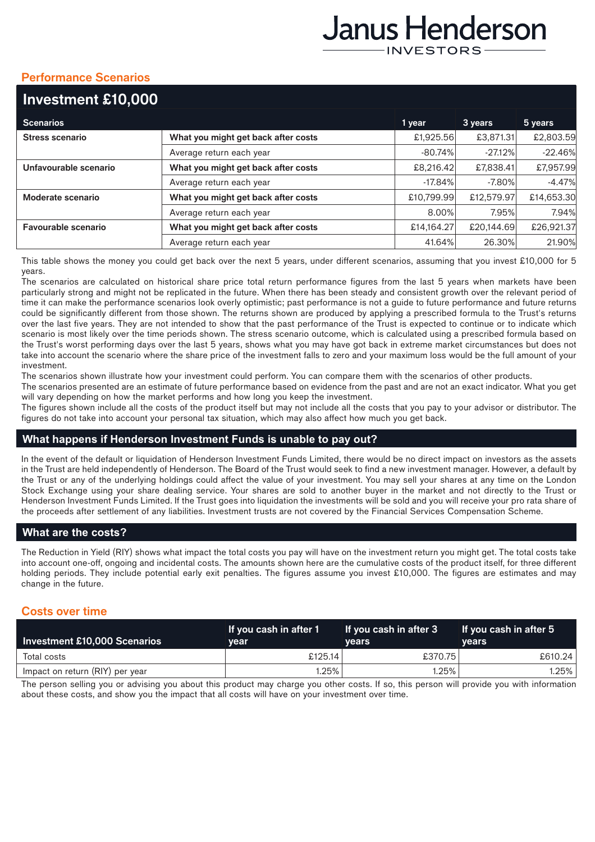# Janus Henderson **INVESTORS**

# **Performance Scenarios**

| Investment £10,000     |                                     |            |            |            |
|------------------------|-------------------------------------|------------|------------|------------|
| <b>Scenarios</b>       |                                     | 1 year     | 3 years    | 5 years    |
| <b>Stress scenario</b> | What you might get back after costs | £1,925.56  | £3,871.31  | £2,803.59  |
|                        | Average return each year            | $-80.74%$  | $-27.12\%$ | $-22.46%$  |
| Unfavourable scenario  | What you might get back after costs | £8,216.42  | £7,838.41  | £7,957.99  |
|                        | Average return each year            | $-17.84%$  | $-7.80\%$  | $-4.47%$   |
| Moderate scenario      | What you might get back after costs | £10,799.99 | £12,579.97 | £14,653.30 |
|                        | Average return each year            | 8.00%      | 7.95%      | 7.94%      |
| Favourable scenario    | What you might get back after costs | £14,164.27 | £20,144.69 | £26,921.37 |
|                        | Average return each year            | 41.64%     | 26.30%     | 21.90%     |

This table shows the money you could get back over the next 5 years, under different scenarios, assuming that you invest £10,000 for 5 years.

The scenarios are calculated on historical share price total return performance figures from the last 5 years when markets have been particularly strong and might not be replicated in the future. When there has been steady and consistent growth over the relevant period of time it can make the performance scenarios look overly optimistic; past performance is not a guide to future performance and future returns could be significantly different from those shown. The returns shown are produced by applying a prescribed formula to the Trust's returns over the last five years. They are not intended to show that the past performance of the Trust is expected to continue or to indicate which scenario is most likely over the time periods shown. The stress scenario outcome, which is calculated using a prescribed formula based on the Trust's worst performing days over the last 5 years, shows what you may have got back in extreme market circumstances but does not take into account the scenario where the share price of the investment falls to zero and your maximum loss would be the full amount of your investment.

The scenarios shown illustrate how your investment could perform. You can compare them with the scenarios of other products.

The scenarios presented are an estimate of future performance based on evidence from the past and are not an exact indicator. What you get will vary depending on how the market performs and how long you keep the investment.

The figures shown include all the costs of the product itself but may not include all the costs that you pay to your advisor or distributor. The figures do not take into account your personal tax situation, which may also affect how much you get back.

## **What happens if Henderson Investment Funds is unable to pay out?**

In the event of the default or liquidation of Henderson Investment Funds Limited, there would be no direct impact on investors as the assets in the Trust are held independently of Henderson. The Board of the Trust would seek to find a new investment manager. However, a default by the Trust or any of the underlying holdings could affect the value of your investment. You may sell your shares at any time on the London Stock Exchange using your share dealing service. Your shares are sold to another buyer in the market and not directly to the Trust or Henderson Investment Funds Limited. If the Trust goes into liquidation the investments will be sold and you will receive your pro rata share of the proceeds after settlement of any liabilities. Investment trusts are not covered by the Financial Services Compensation Scheme.

# **What are the costs?**

The Reduction in Yield (RIY) shows what impact the total costs you pay will have on the investment return you might get. The total costs take into account one-off, ongoing and incidental costs. The amounts shown here are the cumulative costs of the product itself, for three different holding periods. They include potential early exit penalties. The figures assume you invest £10,000. The figures are estimates and may change in the future.

# **Costs over time**

| Investment £10,000 Scenarios    | If you cash in after 1<br>vear | l If you cash in after 3<br><b>vears</b> | If you cash in after 5<br><b>vears</b> |
|---------------------------------|--------------------------------|------------------------------------------|----------------------------------------|
| Total costs                     | £125.14                        | £370.75                                  | £610.24                                |
| Impact on return (RIY) per year | 1.25%                          | 1.25%                                    | $1.25\%$                               |

The person selling you or advising you about this product may charge you other costs. If so, this person will provide you with information about these costs, and show you the impact that all costs will have on your investment over time.